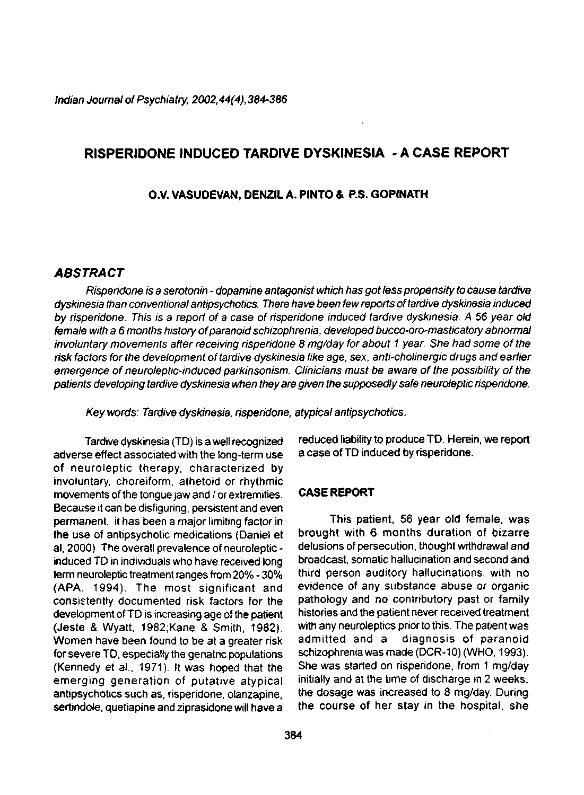Indian Journal of Psychiatry, 2002,44(4), 384-386

# **RISPERIDONE INDUCED TARDIVE DYSKINESIA - A CASE REPORT**

#### **O.V. VASUDEVAN, DENZIL A. PINTO & P.S. GOPINATH**

## **ABSTRACT**

Risperidone is a serotonin - dopamine antagonist which has got less propensity to cause tardive dyskinesia than conventional antipsychotics. There have been few reports of tardive dyskinesia induced by risperidone. This is a report of a case of risperidone induced tardive dyskinesia. A 56 year old female with a 6 months history of paranoid schizophrenia, developed bucco-oro-masticatory abnormal involuntary movements after receiving risperidone 8 mg/day for about 1 year. She had some of the risk factors for the development of tardive dyskinesia like age, sex, anti-chotinergic drugs and earlier emergence of neuroleptic-induced parkinsonism. Clinicians must be aware of the possibility of the patients developing tardive dyskinesia when they are given the supposedly safe neuroleptic risperidone.

Keywords: Tardive dyskinesia, risperidone, atypical antipsychotics.

Tardive dyskinesia (TD) is a well recognized adverse effect associated with the long-term use of neuroleptic therapy, characterized by involuntary, choreiform, athetoid or rhythmic movements of the tongue jaw and / or extremities. Because it can be disfiguring, persistent and even permanent, it has been a major limiting factor in the use of antipsychotic medications (Daniel et al, 2000). The overall prevalence of neuroleptic induced TD in individuals who have received long term neuroleptic treatment ranges from 20% - 30% (APA, 1994). The most significant and consistently documented risk factors for the development of TD is increasing age of the patient (Jeste & Wyatt, 1982;Kane & Smith, 1982). Women have been found to be at a greater risk for severe TD, especially the geriatric populations (Kennedy et al., 1971). It was hoped that the emerging generation of putative atypical antipsychotics such as, risperidone, olanzapine, sertindole, quetiapine and ziprasidone will have a

reduced liability to produce TD. Herein, we report a case of TD induced by risperidone.

### **CASE REPORT**

This patient, 56 year old female, was brought with 6 months duration of bizarre delusions of persecution, thought withdrawal and broadcast, somatic hallucination and second and third person auditory hallucinations, with no evidence of any substance abuse or organic pathology and no contributory past or family histories and the patient never received treatment with any neuroleptics prior to this. The patient was admitted and a diagnosis of paranoid schizophrenia was made (DCR-10) (WHO, 1993). She was started on risperidone, from 1 mg/day initially and at the time of discharge in 2 weeks, the dosage was increased to 8 mg/day. During the course of her stay in the hospital, she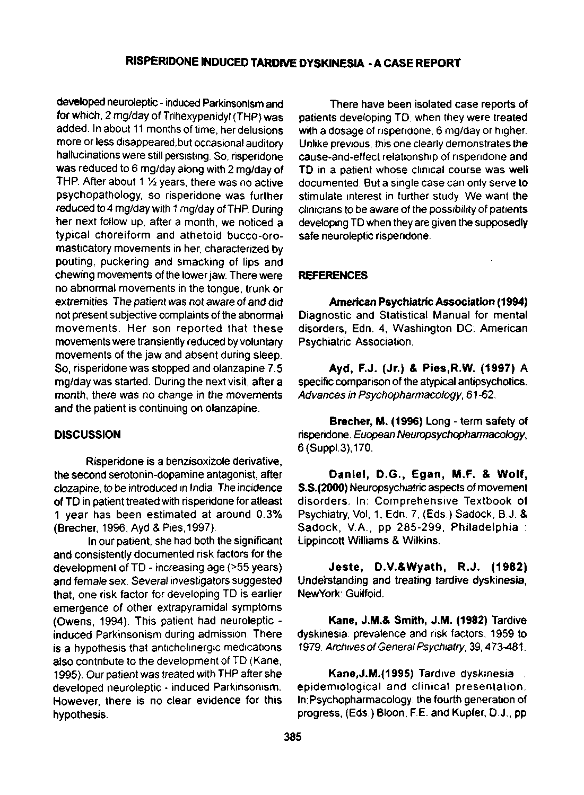## **RISPERIDONE INDUCED TARDIVE DYSKINESIA - A CASE REPORT**

developed neuroleptic- induced Parkinsonism and for which, 2 mg/day of Trihexypenidyl (THP) was added. In about 11 months of time, her delusions more or less disappeared,but occasional auditory hallucinations were still persisting. So, risperidone was reduced to 6 mg/day along with 2 mg/day of THP. After about 1  $\frac{1}{2}$  years, there was no active psychopathology, so risperidone was further reduced to 4 mg/day with 1 mg/day of THP. During her next follow up, after a month, we noticed a typical choreiform and athetoid bucco-oromasticatory movements in her, characterized by pouting, puckering and smacking of lips and chewing movements of the lower jaw. There were no abnormal movements in the tongue, trunk or extremities. The patient was not aware of and did not present subjective complaints of the abnormal movements. Her son reported that these movements were transiently reduced by voluntary movements of the jaw and absent during sleep. So, risperidone was stopped and olanzapine 7.5 mg/day was started. During the next visit, after a month, there was no change in the movements and the patient is continuing on olanzapine.

### **DISCUSSION**

Risperidone is a benzisoxizole derivative, the second serotonin-dopamine antagonist, after clozapine, to be introduced in India. The incidence of TD in patient treated with risperidone for atleast 1 year has been estimated at around 0.3% (Brecher, 1996; Ayd & Pies, 1997).

In our patient, she had both the significant and consistently documented risk factors for the development of TD - increasing age (>55 years) and female sex. Several investigators suggested that, one risk factor for developing TD is earlier emergence of other extrapyramidal symptoms (Owens, 1994). This patient had neuroleptic induced Parkinsonism during admission. There is a hypothesis that anticholinergic medications also contribute to the development of TD (Kane, 1995). Our patient was treated with THP after she developed neuroleptic - induced Parkinsonism. However, there is no clear evidence for this hypothesis.

There have been isolated case reports of patients developing TD. when they were treated with a dosage of risperidone, 6 mg/day or higher. Unlike previous, this one clearly demonstrates the cause-and-effect relationship of risperidone and TD in a patient whose clinical course was well documented. But a single case can only serve to stimulate interest in further study. We want the clinicians to be aware of the possibility of patients developing TD when they are given the supposedly safe neuroleptic risperidone.

### **REFERENCES**

**American Psychiatric Association (1994)**  Diagnostic and Statistical Manual for mental disorders, Edn. 4, Washington DC: American Psychiatric Association.

**Ayd, F.J. (Jr.)** & **Pies.R.W. (1997)** A specific comparison of the atypical antipsychotics. Advances in Psychopharmacology, 61-62.

**Brecher, M. (1996)** Long - term safety of risperidone. Euopean Neuropsychopharmacology, 6(Suppl.3),170.

**Daniel, D.G., Egan, M.F. & Wolf, S.S.(2000)** Neuropsychiatric aspects of movement disorders. In: Comprehensive Textbook of Psychiatry, Vol, 1, Edn. 7, (Eds.) Sadock, B.J. & Sadock, V.A., pp 285-299, Philadelphia : Lippincott Williams & Wilkins.

**Jeste, D.V.&Wyath, R.J. (1982)**  Understanding and treating tardive dyskinesia, NewYork: Guilfoid.

**Kane, J.M.& Smith, J.M. (1982)** Tardive dyskinesia: prevalence and risk factors, 1959 to 1979 Archives of General Psychiatry; 39,473-481.

**Kane,**J.M.(1995) Tardive dyskinesia : epidemiological and clinical presentation. ln:Psychopharmacology: the fourth generation of progress, (Eds.) Bloon, RE. and Kupfer, D.J., pp